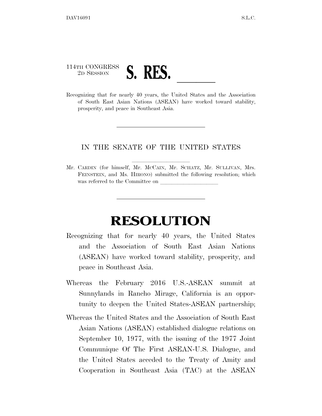## 114TH CONGRESS 2D SESSION **S. RES.** Recognizing that for nearly 40 years, the United States and the Association

of South East Asian Nations (ASEAN) have worked toward stability, prosperity, and peace in Southeast Asia.

## IN THE SENATE OF THE UNITED STATES

Mr. CARDIN (for himself, Mr. McCAIN, Mr. SCHATZ, Mr. SULLIVAN, Mrs. FEINSTEIN, and Ms. HIRONO) submitted the following resolution; which was referred to the Committee on

## **RESOLUTION**

- Recognizing that for nearly 40 years, the United States and the Association of South East Asian Nations (ASEAN) have worked toward stability, prosperity, and peace in Southeast Asia.
- Whereas the February 2016 U.S.-ASEAN summit at Sunnylands in Rancho Mirage, California is an opportunity to deepen the United States-ASEAN partnership;
- Whereas the United States and the Association of South East Asian Nations (ASEAN) established dialogue relations on September 10, 1977, with the issuing of the 1977 Joint Communique Of The First ASEAN-U.S. Dialogue, and the United States acceded to the Treaty of Amity and Cooperation in Southeast Asia (TAC) at the ASEAN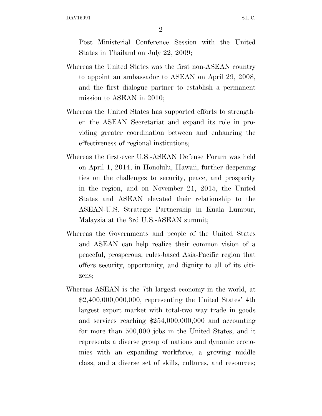2

Post Ministerial Conference Session with the United States in Thailand on July 22, 2009;

- Whereas the United States was the first non-ASEAN country to appoint an ambassador to ASEAN on April 29, 2008, and the first dialogue partner to establish a permanent mission to ASEAN in 2010;
- Whereas the United States has supported efforts to strengthen the ASEAN Secretariat and expand its role in providing greater coordination between and enhancing the effectiveness of regional institutions;
- Whereas the first-ever U.S.-ASEAN Defense Forum was held on April 1, 2014, in Honolulu, Hawaii, further deepening ties on the challenges to security, peace, and prosperity in the region, and on November 21, 2015, the United States and ASEAN elevated their relationship to the ASEAN-U.S. Strategic Partnership in Kuala Lumpur, Malaysia at the 3rd U.S.-ASEAN summit;
- Whereas the Governments and people of the United States and ASEAN can help realize their common vision of a peaceful, prosperous, rules-based Asia-Pacific region that offers security, opportunity, and dignity to all of its citizens;
- Whereas ASEAN is the 7th largest economy in the world, at \$2,400,000,000,000, representing the United States' 4th largest export market with total-two way trade in goods and services reaching \$254,000,000,000 and accounting for more than 500,000 jobs in the United States, and it represents a diverse group of nations and dynamic economies with an expanding workforce, a growing middle class, and a diverse set of skills, cultures, and resources;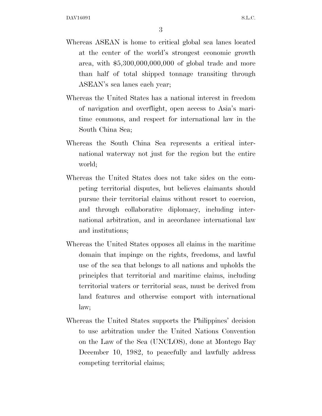- Whereas ASEAN is home to critical global sea lanes located at the center of the world's strongest economic growth area, with \$5,300,000,000,000 of global trade and more than half of total shipped tonnage transiting through ASEAN's sea lanes each year;
- Whereas the United States has a national interest in freedom of navigation and overflight, open access to Asia's maritime commons, and respect for international law in the South China Sea;
- Whereas the South China Sea represents a critical international waterway not just for the region but the entire world;
- Whereas the United States does not take sides on the competing territorial disputes, but believes claimants should pursue their territorial claims without resort to coercion, and through collaborative diplomacy, including international arbitration, and in accordance international law and institutions;
- Whereas the United States opposes all claims in the maritime domain that impinge on the rights, freedoms, and lawful use of the sea that belongs to all nations and upholds the principles that territorial and maritime claims, including territorial waters or territorial seas, must be derived from land features and otherwise comport with international law;
- Whereas the United States supports the Philippines' decision to use arbitration under the United Nations Convention on the Law of the Sea (UNCLOS), done at Montego Bay December 10, 1982, to peacefully and lawfully address competing territorial claims;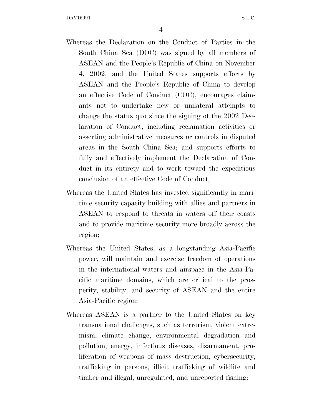4

- Whereas the Declaration on the Conduct of Parties in the South China Sea (DOC) was signed by all members of ASEAN and the People's Republic of China on November 4, 2002, and the United States supports efforts by ASEAN and the People's Republic of China to develop an effective Code of Conduct (COC), encourages claimants not to undertake new or unilateral attempts to change the status quo since the signing of the 2002 Declaration of Conduct, including reclamation activities or asserting administrative measures or controls in disputed areas in the South China Sea; and supports efforts to fully and effectively implement the Declaration of Conduct in its entirety and to work toward the expeditious conclusion of an effective Code of Conduct;
- Whereas the United States has invested significantly in maritime security capacity building with allies and partners in ASEAN to respond to threats in waters off their coasts and to provide maritime security more broadly across the region;
- Whereas the United States, as a longstanding Asia-Pacific power, will maintain and exercise freedom of operations in the international waters and airspace in the Asia-Pacific maritime domains, which are critical to the prosperity, stability, and security of ASEAN and the entire Asia-Pacific region;
- Whereas ASEAN is a partner to the United States on key transnational challenges, such as terrorism, violent extremism, climate change, environmental degradation and pollution, energy, infectious diseases, disarmament, proliferation of weapons of mass destruction, cybersecurity, trafficking in persons, illicit trafficking of wildlife and timber and illegal, unregulated, and unreported fishing;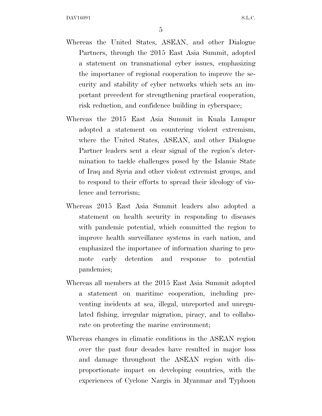- Whereas the United States, ASEAN, and other Dialogue Partners, through the 2015 East Asia Summit, adopted a statement on transnational cyber issues, emphasizing the importance of regional cooperation to improve the security and stability of cyber networks which sets an important precedent for strengthening practical cooperation, risk reduction, and confidence building in cyberspace;
- Whereas the 2015 East Asia Summit in Kuala Lumpur adopted a statement on countering violent extremism, where the United States, ASEAN, and other Dialogue Partner leaders sent a clear signal of the region's determination to tackle challenges posed by the Islamic State of Iraq and Syria and other violent extremist groups, and to respond to their efforts to spread their ideology of violence and terrorism;
- Whereas 2015 East Asia Summit leaders also adopted a statement on health security in responding to diseases with pandemic potential, which committed the region to improve health surveillance systems in each nation, and emphasized the importance of information sharing to promote early detention and response to potential pandemics;
- Whereas all members at the 2015 East Asia Summit adopted a statement on maritime cooperation, including preventing incidents at sea, illegal, unreported and unregulated fishing, irregular migration, piracy, and to collaborate on protecting the marine environment;
- Whereas changes in climatic conditions in the ASEAN region over the past four decades have resulted in major loss and damage throughout the ASEAN region with disproportionate impact on developing countries, with the experiences of Cyclone Nargis in Myanmar and Typhoon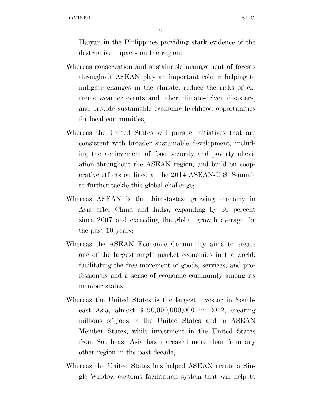6

Haiyan in the Philippines providing stark evidence of the destructive impacts on the region;

- Whereas conservation and sustainable management of forests throughout ASEAN play an important role in helping to mitigate changes in the climate, reduce the risks of extreme weather events and other climate-driven disasters, and provide sustainable economic livelihood opportunities for local communities;
- Whereas the United States will pursue initiatives that are consistent with broader sustainable development, including the achievement of food security and poverty alleviation throughout the ASEAN region, and build on cooperative efforts outlined at the 2014 ASEAN-U.S. Summit to further tackle this global challenge;
- Whereas ASEAN is the third-fastest growing economy in Asia after China and India, expanding by 30 percent since 2007 and exceeding the global growth average for the past 10 years;
- Whereas the ASEAN Economic Community aims to create one of the largest single market economies in the world, facilitating the free movement of goods, services, and professionals and a sense of economic community among its member states;
- Whereas the United States is the largest investor in Southeast Asia, almost \$190,000,000,000 in 2012, creating millions of jobs in the United States and in ASEAN Member States, while investment in the United States from Southeast Asia has increased more than from any other region in the past decade;
- Whereas the United States has helped ASEAN create a Single Window customs facilitation system that will help to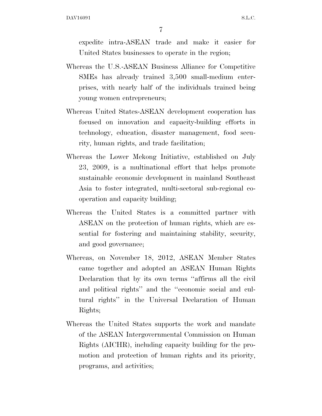7

expedite intra-ASEAN trade and make it easier for United States businesses to operate in the region;

- Whereas the U.S.-ASEAN Business Alliance for Competitive SMEs has already trained 3,500 small-medium enterprises, with nearly half of the individuals trained being young women entrepreneurs;
- Whereas United States-ASEAN development cooperation has focused on innovation and capacity-building efforts in technology, education, disaster management, food security, human rights, and trade facilitation;
- Whereas the Lower Mekong Initiative, established on July 23, 2009, is a multinational effort that helps promote sustainable economic development in mainland Southeast Asia to foster integrated, multi-sectoral sub-regional cooperation and capacity building;
- Whereas the United States is a committed partner with ASEAN on the protection of human rights, which are essential for fostering and maintaining stability, security, and good governance;
- Whereas, on November 18, 2012, ASEAN Member States came together and adopted an ASEAN Human Rights Declaration that by its own terms ''affirms all the civil and political rights'' and the ''economic social and cultural rights'' in the Universal Declaration of Human Rights;
- Whereas the United States supports the work and mandate of the ASEAN Intergovernmental Commission on Human Rights (AICHR), including capacity building for the promotion and protection of human rights and its priority, programs, and activities;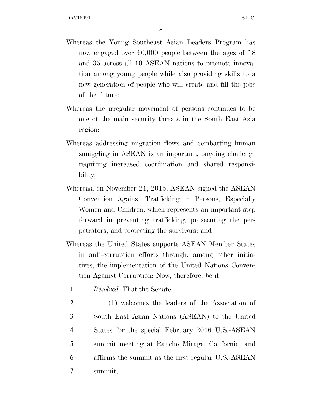8

- Whereas the Young Southeast Asian Leaders Program has now engaged over 60,000 people between the ages of 18 and 35 across all 10 ASEAN nations to promote innovation among young people while also providing skills to a new generation of people who will create and fill the jobs of the future;
- Whereas the irregular movement of persons continues to be one of the main security threats in the South East Asia region;
- Whereas addressing migration flows and combatting human smuggling in ASEAN is an important, ongoing challenge requiring increased coordination and shared responsibility;
- Whereas, on November 21, 2015, ASEAN signed the ASEAN Convention Against Trafficking in Persons, Especially Women and Children, which represents an important step forward in preventing trafficking, prosecuting the perpetrators, and protecting the survivors; and
- Whereas the United States supports ASEAN Member States in anti-corruption efforts through, among other initiatives, the implementation of the United Nations Convention Against Corruption: Now, therefore, be it
	- 1 *Resolved,* That the Senate—
- 2 (1) welcomes the leaders of the Association of 3 South East Asian Nations (ASEAN) to the United 4 States for the special February 2016 U.S.-ASEAN 5 summit meeting at Rancho Mirage, California, and 6 affirms the summit as the first regular U.S.-ASEAN 7 summit;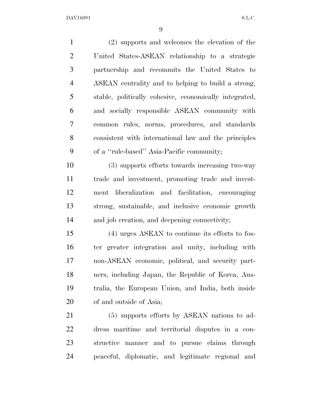(2) supports and welcomes the elevation of the United States-ASEAN relationship to a strategic partnership and recommits the United States to ASEAN centrality and to helping to build a strong, stable, politically cohesive, economically integrated, and socially responsible ASEAN community with common rules, norms, procedures, and standards consistent with international law and the principles of a ''rule-based'' Asia-Pacific community; (3) supports efforts towards increasing two-way

 trade and investment, promoting trade and invest- ment liberalization and facilitation, encouraging strong, sustainable, and inclusive economic growth and job creation, and deepening connectivity;

 (4) urges ASEAN to continue its efforts to fos- ter greater integration and unity, including with non-ASEAN economic, political, and security part- ners, including Japan, the Republic of Korea, Aus- tralia, the European Union, and India, both inside of and outside of Asia;

 (5) supports efforts by ASEAN nations to ad- dress maritime and territorial disputes in a con- structive manner and to pursue claims through peaceful, diplomatic, and legitimate regional and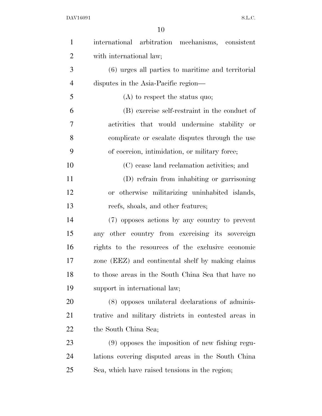| $\mathbf{1}$   | international arbitration mechanisms, consistent     |
|----------------|------------------------------------------------------|
| $\overline{2}$ | with international law;                              |
| 3              | (6) urges all parties to maritime and territorial    |
| $\overline{4}$ | disputes in the Asia-Pacific region—                 |
| 5              | $(A)$ to respect the status quo;                     |
| 6              | (B) exercise self-restraint in the conduct of        |
| $\overline{7}$ | activities that would undermine stability or         |
| 8              | complicate or escalate disputes through the use      |
| 9              | of coercion, intimidation, or military force;        |
| 10             | (C) cease land reclamation activities; and           |
| 11             | (D) refrain from inhabiting or garrisoning           |
| 12             | or otherwise militarizing uninhabited islands,       |
| 13             | reefs, shoals, and other features;                   |
| 14             | (7) opposes actions by any country to prevent        |
| 15             | any other country from exercising its sovereign      |
| 16             | rights to the resources of the exclusive economic    |
| 17             | zone (EEZ) and continental shelf by making claims    |
| 18             | to those areas in the South China Sea that have no   |
| 19             | support in international law;                        |
| 20             | (8) opposes unilateral declarations of adminis-      |
| 21             | trative and military districts in contested areas in |
| 22             | the South China Sea;                                 |
| 23             | $(9)$ opposes the imposition of new fishing regu-    |
| 24             | lations covering disputed areas in the South China   |
| 25             | Sea, which have raised tensions in the region;       |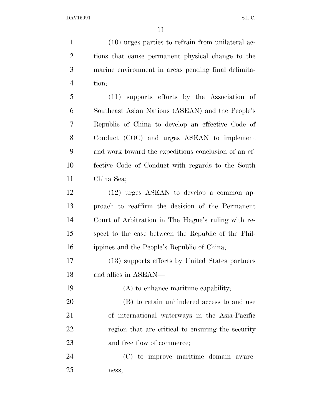(10) urges parties to refrain from unilateral ac- tions that cause permanent physical change to the marine environment in areas pending final delimita- tion; (11) supports efforts by the Association of

 Southeast Asian Nations (ASEAN) and the People's Republic of China to develop an effective Code of Conduct (COC) and urges ASEAN to implement and work toward the expeditious conclusion of an ef- fective Code of Conduct with regards to the South China Sea;

 (12) urges ASEAN to develop a common ap- proach to reaffirm the decision of the Permanent Court of Arbitration in The Hague's ruling with re- spect to the case between the Republic of the Phil-ippines and the People's Republic of China;

 (13) supports efforts by United States partners and allies in ASEAN—

 (A) to enhance maritime capability; (B) to retain unhindered access to and use of international waterways in the Asia-Pacific region that are critical to ensuring the security 23 and free flow of commerce;

 (C) to improve maritime domain aware-ness;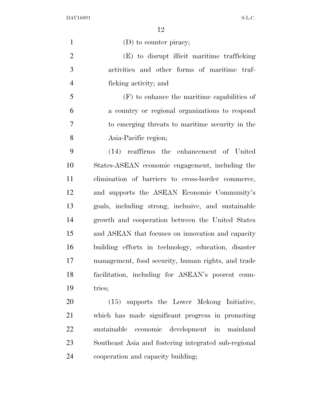1 (D) to counter piracy; (E) to disrupt illicit maritime trafficking activities and other forms of maritime traf- ficking activity; and (F) to enhance the maritime capabilities of a country or regional organizations to respond to emerging threats to maritime security in the Asia-Pacific region; (14) reaffirms the enhancement of United States-ASEAN economic engagement, including the elimination of barriers to cross-border commerce, and supports the ASEAN Economic Community's goals, including strong, inclusive, and sustainable growth and cooperation between the United States and ASEAN that focuses on innovation and capacity building efforts in technology, education, disaster management, food security, human rights, and trade facilitation, including for ASEAN's poorest coun- tries; (15) supports the Lower Mekong Initiative,

 which has made significant progress in promoting sustainable economic development in mainland Southeast Asia and fostering integrated sub-regional cooperation and capacity building;